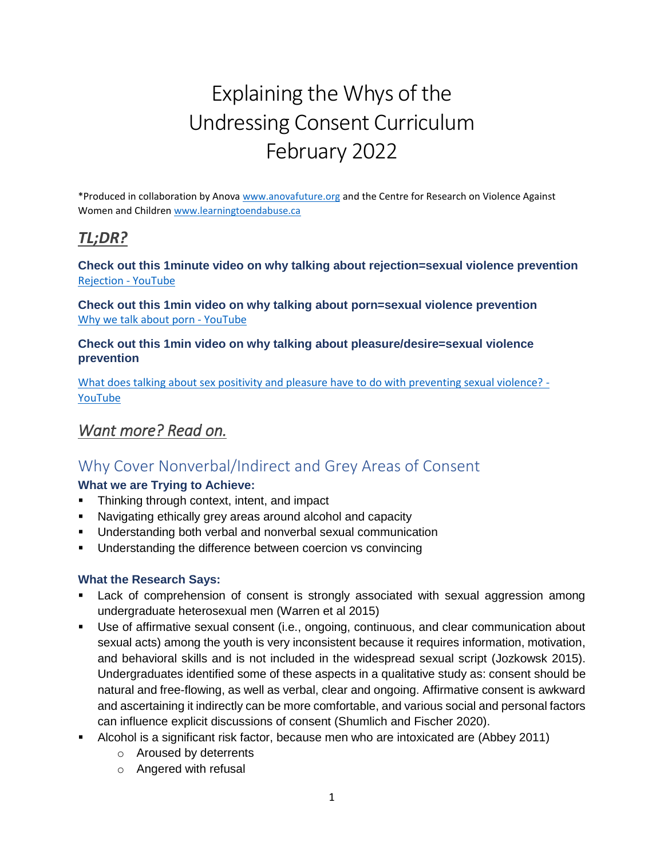# Explaining the Whys of the Undressing Consent Curriculum February 2022

\*Produced in collaboration by Anova [www.anovafuture.org](http://www.anovafuture.org/) and the Centre for Research on Violence Against Women and Childre[n www.learningtoendabuse.ca](http://www.learningtoendabuse.ca/)

### *TL;DR?*

**Check out this 1minute video on why talking about rejection=sexual violence prevention** [Rejection -](https://www.youtube.com/shorts/xGEhgLSWwT8) YouTube

**Check out this 1min video on why talking about porn=sexual violence prevention** [Why we talk about porn -](https://www.youtube.com/shorts/35Pg7FuhM7o) YouTube

**Check out this 1min video on why talking about pleasure/desire=sexual violence prevention** 

[What does talking about sex positivity and pleasure have to do with preventing sexual violence? -](https://www.youtube.com/watch?v=VH0Rg27JFso) [YouTube](https://www.youtube.com/watch?v=VH0Rg27JFso)

### *Want more? Read on.*

### Why Cover Nonverbal/Indirect and Grey Areas of Consent

#### **What we are Trying to Achieve:**

- **•** Thinking through context, intent, and impact
- Navigating ethically grey areas around alcohol and capacity
- Understanding both verbal and nonverbal sexual communication
- Understanding the difference between coercion vs convincing

#### **What the Research Says:**

- **EXECT** Lack of comprehension of consent is strongly associated with sexual aggression among undergraduate heterosexual men (Warren et al 2015)
- **•** Use of affirmative sexual consent (i.e., ongoing, continuous, and clear communication about sexual acts) among the youth is very inconsistent because it requires information, motivation, and behavioral skills and is not included in the widespread sexual script (Jozkowsk 2015). Undergraduates identified some of these aspects in a qualitative study as: consent should be natural and free-flowing, as well as verbal, clear and ongoing. Affirmative consent is awkward and ascertaining it indirectly can be more comfortable, and various social and personal factors can influence explicit discussions of consent (Shumlich and Fischer 2020).
- **E** Alcohol is a significant risk factor, because men who are intoxicated are (Abbey 2011)
	- o Aroused by deterrents
	- o Angered with refusal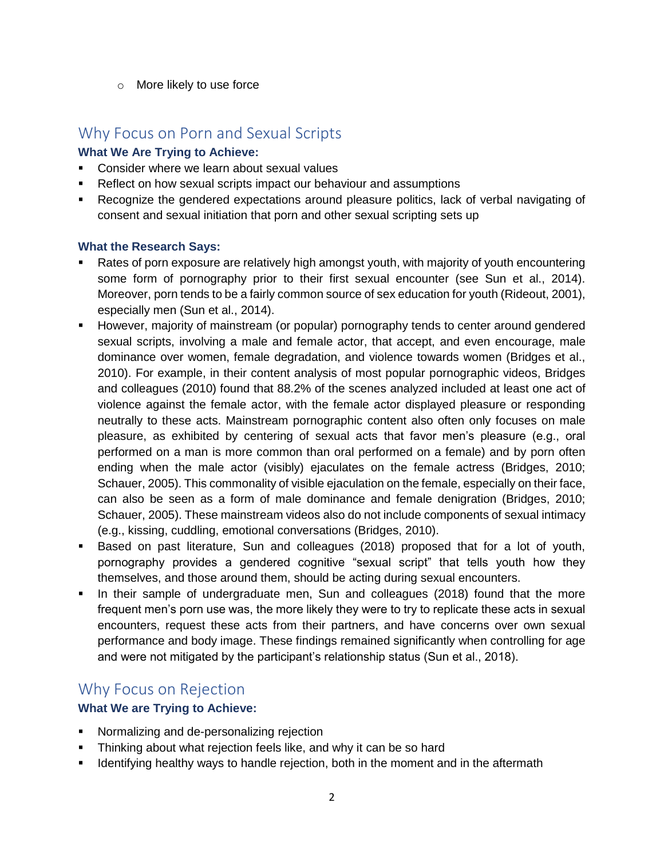o More likely to use force

### Why Focus on Porn and Sexual Scripts

#### **What We Are Trying to Achieve:**

- Consider where we learn about sexual values
- Reflect on how sexual scripts impact our behaviour and assumptions
- Recognize the gendered expectations around pleasure politics, lack of verbal navigating of consent and sexual initiation that porn and other sexual scripting sets up

#### **What the Research Says:**

- Rates of porn exposure are relatively high amongst youth, with majority of youth encountering some form of pornography prior to their first sexual encounter (see Sun et al., 2014). Moreover, porn tends to be a fairly common source of sex education for youth (Rideout, 2001), especially men (Sun et al., 2014).
- However, majority of mainstream (or popular) pornography tends to center around gendered sexual scripts, involving a male and female actor, that accept, and even encourage, male dominance over women, female degradation, and violence towards women (Bridges et al., 2010). For example, in their content analysis of most popular pornographic videos, Bridges and colleagues (2010) found that 88.2% of the scenes analyzed included at least one act of violence against the female actor, with the female actor displayed pleasure or responding neutrally to these acts. Mainstream pornographic content also often only focuses on male pleasure, as exhibited by centering of sexual acts that favor men's pleasure (e.g., oral performed on a man is more common than oral performed on a female) and by porn often ending when the male actor (visibly) ejaculates on the female actress (Bridges, 2010; Schauer, 2005). This commonality of visible ejaculation on the female, especially on their face, can also be seen as a form of male dominance and female denigration (Bridges, 2010; Schauer, 2005). These mainstream videos also do not include components of sexual intimacy (e.g., kissing, cuddling, emotional conversations (Bridges, 2010).
- **E** Based on past literature, Sun and colleagues (2018) proposed that for a lot of youth, pornography provides a gendered cognitive "sexual script" that tells youth how they themselves, and those around them, should be acting during sexual encounters.
- In their sample of undergraduate men, Sun and colleagues (2018) found that the more frequent men's porn use was, the more likely they were to try to replicate these acts in sexual encounters, request these acts from their partners, and have concerns over own sexual performance and body image. These findings remained significantly when controlling for age and were not mitigated by the participant's relationship status (Sun et al., 2018).

### Why Focus on Rejection

#### **What We are Trying to Achieve:**

- **•** Normalizing and de-personalizing rejection
- **Thinking about what rejection feels like, and why it can be so hard**
- **■** Identifying healthy ways to handle rejection, both in the moment and in the aftermath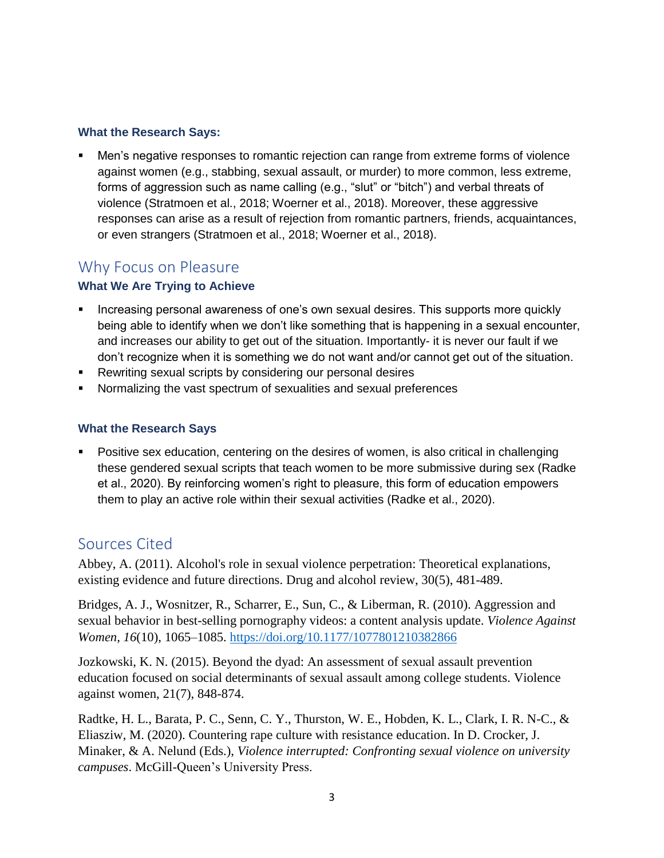#### **What the Research Says:**

Men's negative responses to romantic rejection can range from extreme forms of violence against women (e.g., stabbing, sexual assault, or murder) to more common, less extreme, forms of aggression such as name calling (e.g., "slut" or "bitch") and verbal threats of violence (Stratmoen et al., 2018; Woerner et al., 2018). Moreover, these aggressive responses can arise as a result of rejection from romantic partners, friends, acquaintances, or even strangers (Stratmoen et al., 2018; Woerner et al., 2018).

## Why Focus on Pleasure

#### **What We Are Trying to Achieve**

- **EXT** Increasing personal awareness of one's own sexual desires. This supports more quickly being able to identify when we don't like something that is happening in a sexual encounter, and increases our ability to get out of the situation. Importantly- it is never our fault if we don't recognize when it is something we do not want and/or cannot get out of the situation.
- Rewriting sexual scripts by considering our personal desires
- Normalizing the vast spectrum of sexualities and sexual preferences

#### **What the Research Says**

**•** Positive sex education, centering on the desires of women, is also critical in challenging these gendered sexual scripts that teach women to be more submissive during sex (Radke et al., 2020). By reinforcing women's right to pleasure, this form of education empowers them to play an active role within their sexual activities (Radke et al., 2020).

#### Sources Cited

Abbey, A. (2011). Alcohol's role in sexual violence perpetration: Theoretical explanations, existing evidence and future directions. Drug and alcohol review, 30(5), 481-489.

Bridges, A. J., Wosnitzer, R., Scharrer, E., Sun, C., & Liberman, R. (2010). Aggression and sexual behavior in best-selling pornography videos: a content analysis update. *Violence Against Women, 16*(10), 1065–1085.<https://doi.org/10.1177/1077801210382866>

Jozkowski, K. N. (2015). Beyond the dyad: An assessment of sexual assault prevention education focused on social determinants of sexual assault among college students. Violence against women, 21(7), 848-874.

Radtke, H. L., Barata, P. C., Senn, C. Y., Thurston, W. E., Hobden, K. L., Clark, I. R. N-C., & Eliasziw, M. (2020). Countering rape culture with resistance education. In D. Crocker, J. Minaker, & A. Nelund (Eds.), *Violence interrupted: Confronting sexual violence on university campuses*. McGill-Queen's University Press.